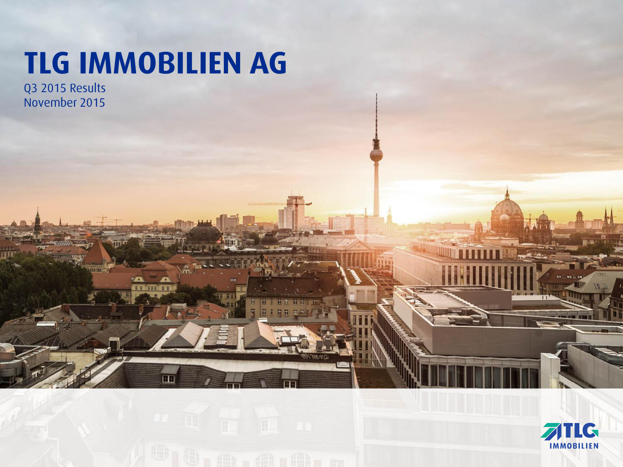# **TLG IMMOBILIEN AG**

78

Q3 2015 Results November 2015

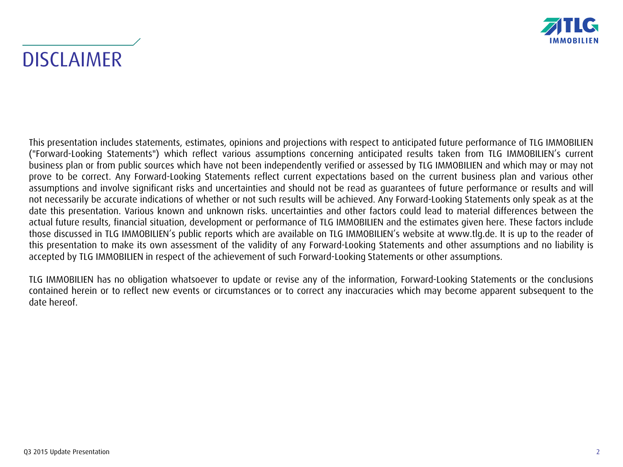

**DISCLAIMER** 

This presentation includes statements, estimates, opinions and projections with respect to anticipated future performance of TLG IMMOBILIEN ("Forward-Looking Statements") which reflect various assumptions concerning anticipated results taken from TLG IMMOBILIEN's current business plan or from public sources which have not been independently verified or assessed by TLG IMMOBILIEN and which may or may not prove to be correct. Any Forward-Looking Statements reflect current expectations based on the current business plan and various other assumptions and involve significant risks and uncertainties and should not be read as guarantees of future performance or results and will not necessarily be accurate indications of whether or not such results will be achieved. Any Forward-Looking Statements only speak as at the date this presentation. Various known and unknown risks. uncertainties and other factors could lead to material differences between the actual future results, financial situation, development or performance of TLG IMMOBILIEN and the estimates given here. These factors include those discussed in TLG IMMOBILIEN's public reports which are available on TLG IMMOBILIEN's website at www.tlg.de. It is up to the reader of this presentation to make its own assessment of the validity of any Forward-Looking Statements and other assumptions and no liability is accepted by TLG IMMOBILIEN in respect of the achievement of such Forward-Looking Statements or other assumptions.

TLG IMMOBILIEN has no obligation whatsoever to update or revise any of the information, Forward-Looking Statements or the conclusions contained herein or to reflect new events or circumstances or to correct any inaccuracies which may become apparent subsequent to the date hereof.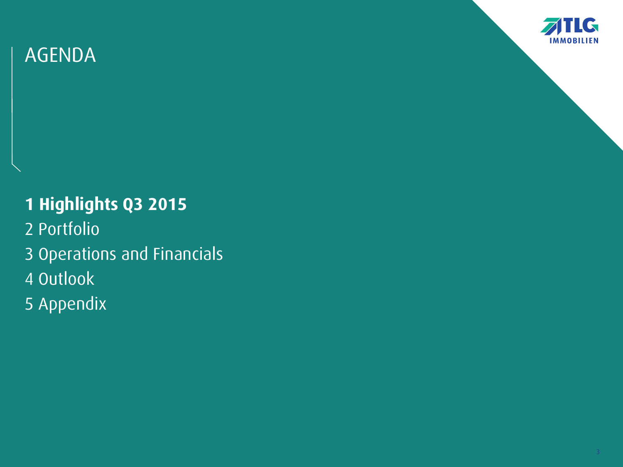

## **1 Highlights Q3 2015**

- 2 Portfolio
- 3 Operations and Financials
- 4 Outlook
- 5 Appendix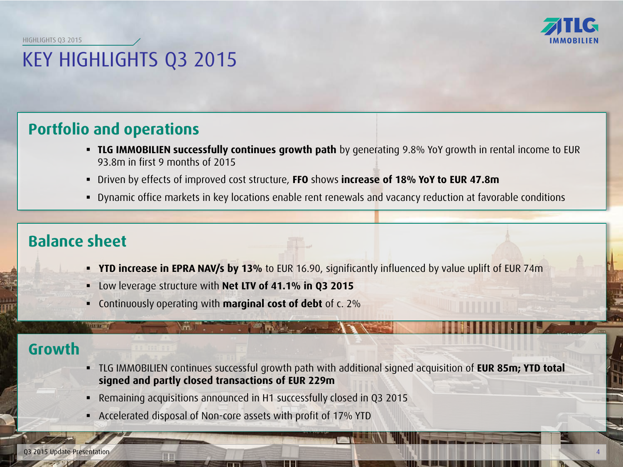HIGHLIGHTS Q3 2015

# KEY HIGHLIGHTS Q3 2015

### **Portfolio and operations**

- **TLG IMMOBILIEN successfully continues growth path** by generating 9.8% YoY growth in rental income to EUR 93.8m in first 9 months of 2015
- Driven by effects of improved cost structure, **FFO** shows **increase of 18% YoY to EUR 47.8m**
- Dynamic office markets in key locations enable rent renewals and vacancy reduction at favorable conditions

### **Balance sheet**

**TOXERS** 

- **YTD increase in EPRA NAV/s by 13%** to EUR 16.90, significantly influenced by value uplift of EUR 74m
- Low leverage structure with **Net LTV of 41.1% in Q3 2015**

m T

Continuously operating with **marginal cost of debt** of c. 2%

### **Growth**

- TLG IMMOBILIEN continues successful growth path with additional signed acquisition of **EUR 85m; YTD total signed and partly closed transactions of EUR 229m**
- Remaining acquisitions announced in H1 successfully closed in Q3 2015
- Accelerated disposal of Non-core assets with profit of 17% YTD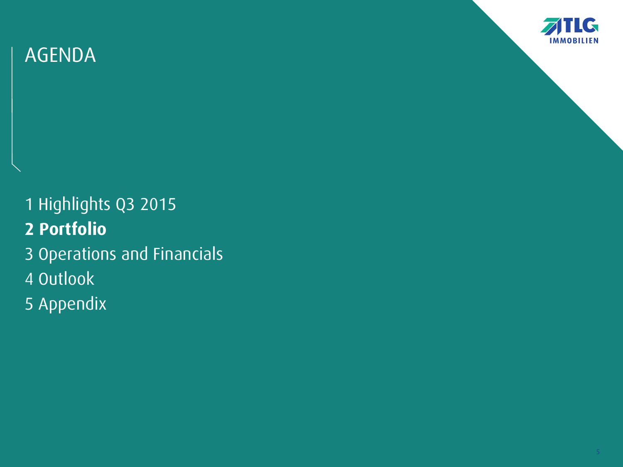

1 Highlights Q3 2015 **2 Portfolio** 3 Operations and Financials 4 Outlook 5 Appendix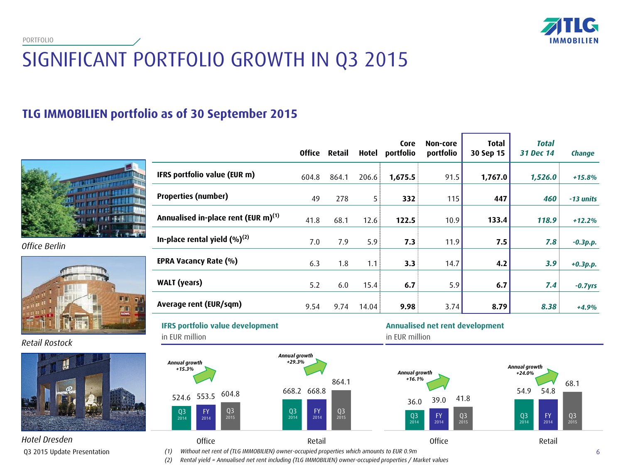**IMMOBILIEN** 

PORTFOLIO

# SIGNIFICANT PORTFOLIO GROWTH IN Q3 2015

### **TLG IMMOBILIEN portfolio as of 30 September 2015**



*Office Berlin*



*Retail Rostock*



| Hotel Dresden               |
|-----------------------------|
| Q3 2015 Update Presentation |

|                                                 | <b>Office</b> | Retail | Hotel | Core<br>portfolio | Non-core<br>portfolio | <b>Total</b><br>30 Sep 15 | <b>Total</b><br>31 Dec 14 | Change      |
|-------------------------------------------------|---------------|--------|-------|-------------------|-----------------------|---------------------------|---------------------------|-------------|
| IFRS portfolio value (EUR m)                    | 604.8         | 864.1  | 206.6 | 1,675.5           | 91.5                  | 1,767.0                   | 1,526.0                   | $+15.8%$    |
| <b>Properties (number)</b>                      | 49            | 278    | 5     | 332               | 115                   | 447                       | 460                       | -13 units   |
| Annualised in-place rent (EUR m) <sup>(1)</sup> | 41.8          | 68.1   | 12.6  | 122.5             | 10.9                  | 133.4                     | 118.9                     | $+12.2%$    |
| In-place rental yield $(\%)^{(2)}$              | 7.0           | 7.9    | 5.9   | 7.3               | 11.9                  | 7.5                       | 7.8                       | $-0.3 p.p.$ |
| EPRA Vacancy Rate (%)                           | 6.3           | 1.8    | 1.1   | 3.3               | 14.7                  | 4.2                       | 3.9                       | $+0.3p.p.$  |
| <b>WALT</b> (years)                             | 5.2           | 6.0    | 15.4  | 6.7               | 5.9                   | 6.7                       | 7.4                       | $-0.7$ yrs  |
| Average rent (EUR/sqm)                          | 9.54          | 9.74   | 14.04 | 9.98              | 3.74                  | 8.79                      | 8.38                      | $+4.9%$     |

**IFRS portfolio value development**  in EUR million

Q3 2014

*Annual growth +15.3%*



#### **Annualised net rent development**

in EUR million



*(1) Without net rent of (TLG IMMOBILIEN) owner-occupied properties which amounts to EUR 0.9m* 6

*(2) Rental yield = Annualised net rent including (TLG IMMOBILIEN) owner-occupied properties / Market values*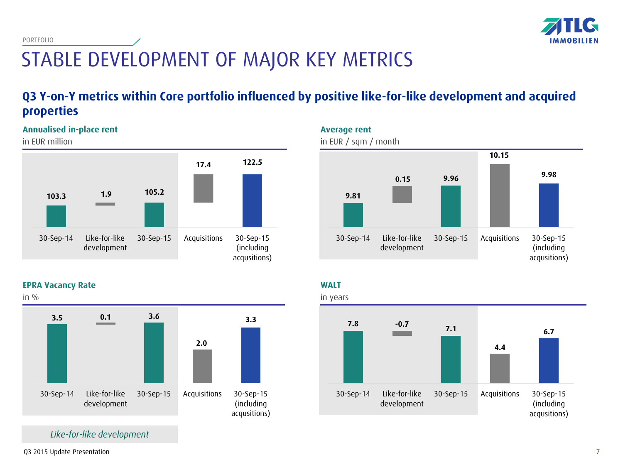

STABLE DEVELOPMENT OF MAJOR KEY METRICS

### **Q3 Y-on-Y metrics within Core portfolio influenced by positive like-for-like development and acquired properties**

#### **Annualised in-place rent**

in EUR million

PORTFOLIO



**EPRA Vacancy Rate**



*Like-for-like development*



**WALT**



Q3 2015 Update Presentation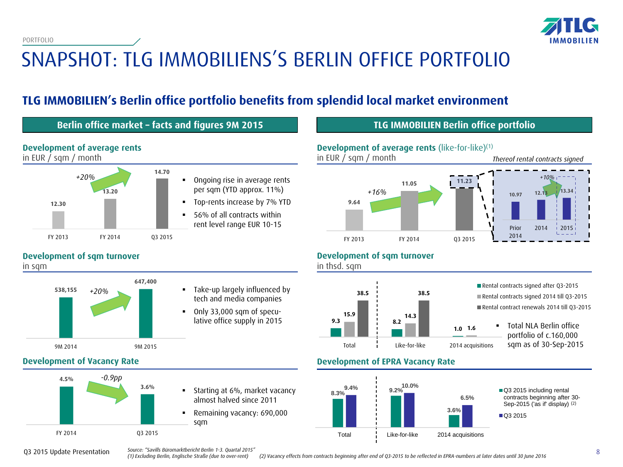PORTFOLIO



# SNAPSHOT: TLG IMMOBILIENS'S BERLIN OFFICE PORTFOLIO

### **TLG IMMOBILIEN's Berlin office portfolio benefits from splendid local market environment**

#### **Berlin office market – facts and figures 9M 2015 TLG IMMOBILIEN Berlin office portfolio**

**Development of average rents** in EUR / sqm / month



#### **Development of sqm turnover**

in sqm



#### *+20%* Take-up largely influenced by tech and media companies

 Only 33,000 sqm of speculative office supply in 2015





#### **Development of sqm turnover**

in thsd. sqm



Rental contracts signed after Q3-2015 Rental contracts signed 2014 till Q3-2015 Rental contract renewals 2014 till Q3-2015

> Total NLA Berlin office portfolio of c.160,000 sqm as of 30-Sep-2015

#### **Development of Vacancy Rate Development of EPRA Vacancy Rate**



Q3 2015 Update Presentation

*Source: "Savills Büromarktbericht Berlin 1-3. Quartal 2015"*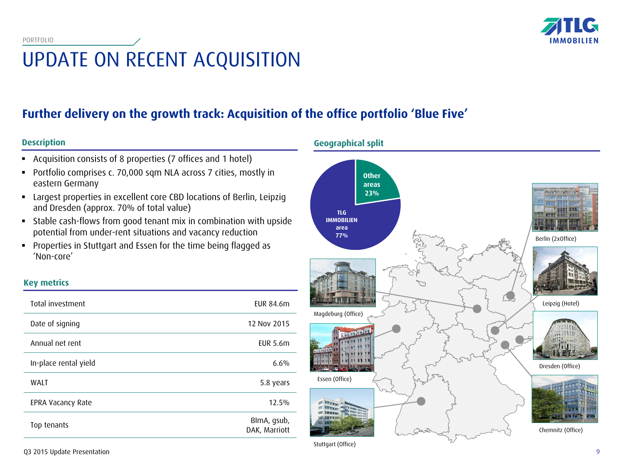

# UPDATE ON RECENT ACQUISITION

### **Further delivery on the growth track: Acquisition of the office portfolio 'Blue Five'**

#### **Description**

**Key metrics**

- Acquisition consists of 8 properties (7 offices and 1 hotel)
- Portfolio comprises c. 70,000 sqm NLA across 7 cities, mostly in eastern Germany
- Largest properties in excellent core CBD locations of Berlin, Leipzig and Dresden (approx. 70% of total value)
- Stable cash-flows from good tenant mix in combination with upside potential from under-rent situations and vacancy reduction
- Properties in Stuttgart and Essen for the time being flagged as 'Non-core'

| Total investment      | EUR 84.6m                    |
|-----------------------|------------------------------|
| Date of signing       | 12 Nov 2015                  |
| Annual net rent       | <b>EUR 5.6m</b>              |
| In-place rental yield | 6.6%                         |
| <b>WALT</b>           | 5.8 years                    |
| EPRA Vacancy Rate     | 12.5%                        |
| Top tenants           | BlmA, gsub,<br>DAK, Marriott |

#### **Geographical split**



Stuttgart (Office)

Q3 2015 Update Presentation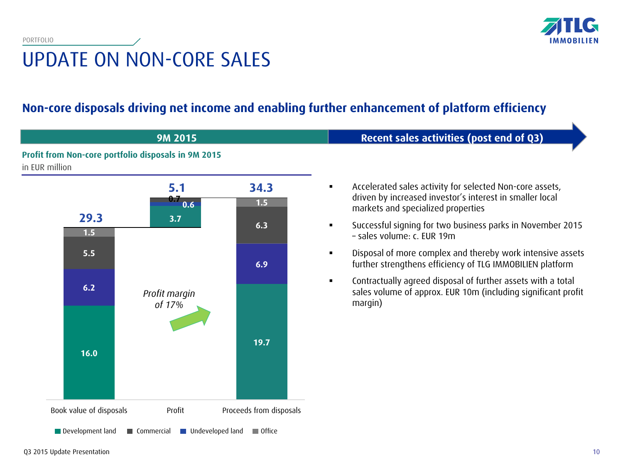

### **Non-core disposals driving net income and enabling further enhancement of platform efficiency**

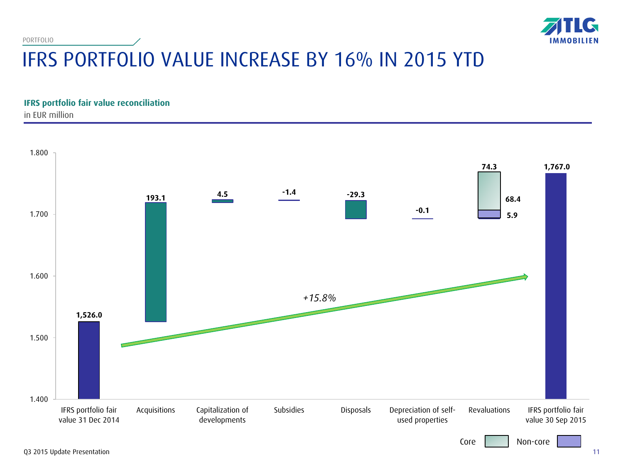PORTFOLIO



# IFRS PORTFOLIO VALUE INCREASE BY 16% IN 2015 YTD

**IFRS portfolio fair value reconciliation** in EUR million

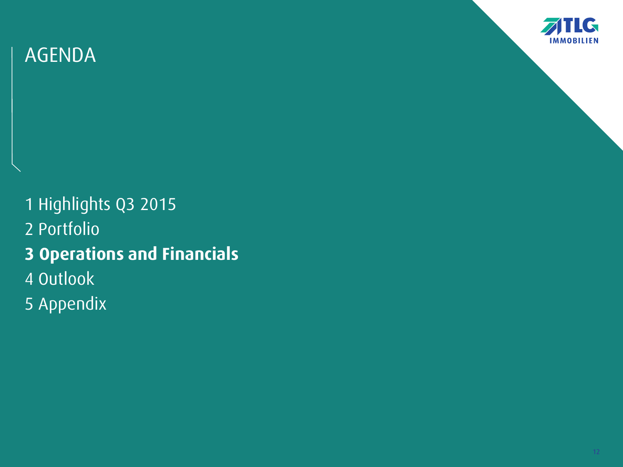

1 Highlights Q3 2015 2 Portfolio **3 Operations and Financials** 4 Outlook 5 Appendix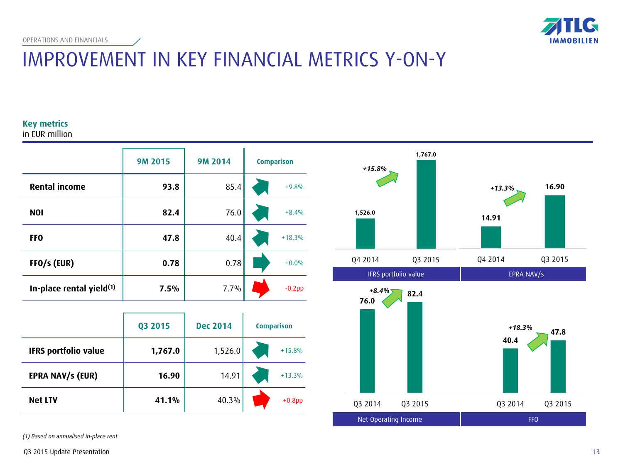

## IMPROVEMENT IN KEY FINANCIAL METRICS Y-ON-Y

#### **Key metrics**

in EUR million

|                                      | <b>9M 2015</b> | <b>9M 2014</b> | <b>Comparison</b> |
|--------------------------------------|----------------|----------------|-------------------|
| <b>Rental income</b>                 | 93.8           | 85.4           | $+9.8%$           |
| <b>NOI</b>                           | 82.4           | 76.0           | $+8.4%$           |
| FF <sub>0</sub>                      | 47.8           | 40.4           | $+18.3%$          |
| FFO/s (EUR)                          | 0.78           | 0.78           | $+0.0%$           |
| In-place rental yield <sup>(1)</sup> | 7.5%           | 7.7%           | $-0.2$ pp         |

|                             | Q3 2015 | <b>Dec 2014</b> | <b>Comparison</b> |  |
|-----------------------------|---------|-----------------|-------------------|--|
| <b>IFRS portfolio value</b> | 1,767.0 | 1,526.0         | $+15.8%$          |  |
| <b>EPRA NAV/s (EUR)</b>     | 16.90   | 14.91           | $+13.3%$          |  |
| <b>Net LTV</b>              | 41.1%   | 40.3%           | $+0.8$ pp         |  |

*(1) Based on annualised in-place rent* 



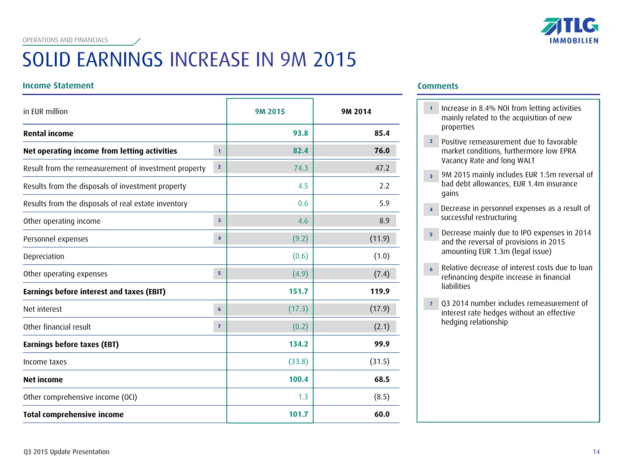# SOLID EARNINGS INCREASE IN 9M 2015

#### **Income Statement Comments**

| in EUR million                                       |                         | <b>9M 2015</b> | 9M 2014 |
|------------------------------------------------------|-------------------------|----------------|---------|
| <b>Rental income</b>                                 |                         | 93.8           | 85.4    |
| Net operating income from letting activities         | $\mathbf{1}$            | 82.4           | 76.0    |
| Result from the remeasurement of investment property | $\overline{2}$          | 74.3           | 47.2    |
| Results from the disposals of investment property    |                         | 4.5            | 2.2     |
| Results from the disposals of real estate inventory  |                         | 0.6            | 5.9     |
| Other operating income                               | $\overline{\mathbf{3}}$ | 4.6            | 8.9     |
| Personnel expenses                                   | $\overline{4}$          | (9.2)          | (11.9)  |
| Depreciation                                         |                         | (0.6)          | (1.0)   |
| Other operating expenses                             | $\overline{5}$          | (4.9)          | (7.4)   |
| Earnings before interest and taxes (EBIT)            |                         | 151.7          | 119.9   |
| Net interest                                         | $6\phantom{1}6$         | (17.3)         | (17.9)  |
| Other financial result                               | $\overline{7}$          | (0.2)          | (2.1)   |
| Earnings before taxes (EBT)                          |                         | 134.2          | 99.9    |
| Income taxes                                         |                         | (33.8)         | (31.5)  |
| <b>Net income</b>                                    |                         | 100.4          | 68.5    |
| Other comprehensive income (OCI)                     |                         | 1.3            | (8.5)   |
| <b>Total comprehensive income</b>                    |                         | 101.7          | 60.0    |

 Increase in 8.4% NOI from letting activities **1** mainly related to the acquisition of new properties

**IMMOBILIEN** 

- Positive remeasurement due to favorable **2** market conditions, furthermore low EPRA Vacancy Rate and long WALT
- 9M 2015 mainly includes EUR 1.5m reversal of **3** bad debt allowances, EUR 1.4m insurance gains
- Decrease in personnel expenses as a result of **4**successful restructuring
- Decrease mainly due to IPO expenses in 2014 **5** and the reversal of provisions in 2015 amounting EUR 1.3m (legal issue)
- Relative decrease of interest costs due to loan **6** refinancing despite increase in financial liabilities
- Q3 2014 number includes remeasurement of **7** interest rate hedges without an effective hedging relationship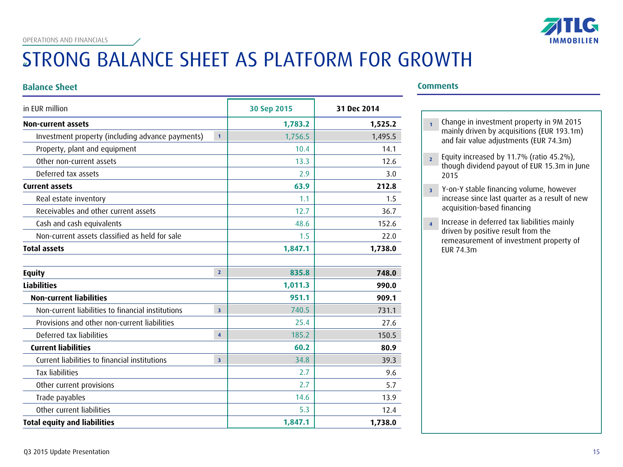

# STRONG BALANCE SHEET AS PLATFORM FOR GROWTH

#### **Balance Sheet Comments**

| in EUR million                                    |                         | 30 Sep 2015 | 31 Dec 2014 |
|---------------------------------------------------|-------------------------|-------------|-------------|
| <b>Non-current assets</b>                         |                         | 1,783.2     | 1,525.2     |
| Investment property (including advance payments)  | $\mathbf{1}$            | 1,756.5     | 1,495.5     |
| Property, plant and equipment                     |                         | 10.4        | 14.1        |
| Other non-current assets                          |                         | 13.3        | 12.6        |
| Deferred tax assets                               |                         | 2.9         | 3.0         |
| <b>Current assets</b>                             |                         | 63.9        | 212.8       |
| Real estate inventory                             |                         | 1.1         | 1.5         |
| Receivables and other current assets              |                         | 12.7        | 36.7        |
| Cash and cash equivalents                         |                         | 48.6        | 152.6       |
| Non-current assets classified as held for sale    |                         | 1.5         | 22.0        |
| <b>Total assets</b>                               |                         | 1,847.1     | 1,738.0     |
| <b>Equity</b>                                     | $\overline{2}$          | 835.8       | 748.0       |
| <b>Liabilities</b>                                |                         | 1,011.3     | 990.0       |
| <b>Non-current liabilities</b>                    |                         | 951.1       | 909.1       |
| Non-current liabilities to financial institutions | $\overline{3}$          | 740.5       | 731.1       |
| Provisions and other non-current liabilities      |                         | 25.4        | 27.6        |
| Deferred tax liabilities                          | $\overline{4}$          | 185.2       | 150.5       |
| <b>Current liabilities</b>                        |                         | 60.2        | 80.9        |
| Current liabilities to financial institutions     | $\overline{\mathbf{3}}$ | 34.8        | 39.3        |
| <b>Tax liabilities</b>                            |                         | 2.7         | 9.6         |
| Other current provisions                          |                         | 2.7         | 5.7         |
| Trade payables                                    |                         | 14.6        | 13.9        |
| Other current liabilities                         |                         | 5.3         | 12.4        |
| <b>Total equity and liabilities</b>               |                         | 1,847.1     | 1,738.0     |

- Change in investment property in 9M 2015 **1** mainly driven by acquisitions (EUR 193.1m) and fair value adjustments (EUR 74.3m)
- Equity increased by 11.7% (ratio 45.2%), though dividend payout of EUR 15.3m in June 2015 **2**
- Y-on-Y stable financing volume, however increase since last quarter as a result of new acquisition-based financing **3**
- Increase in deferred tax liabilities mainly driven by positive result from the remeasurement of investment property of EUR 74.3m **4**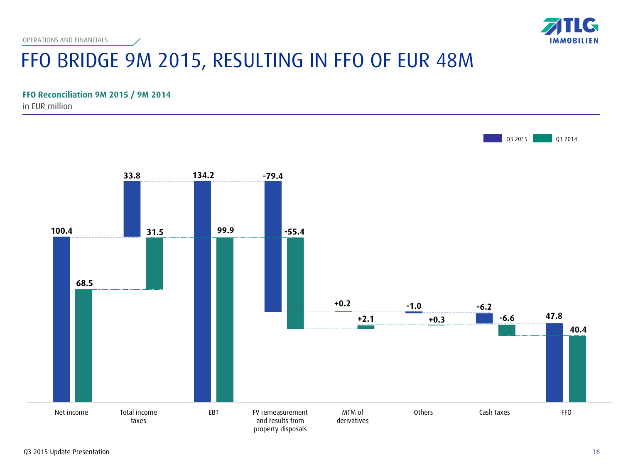

# FFO BRIDGE 9M 2015, RESULTING IN FFO OF EUR 48M

#### **FFO Reconciliation 9M 2015 / 9M 2014**

in EUR million

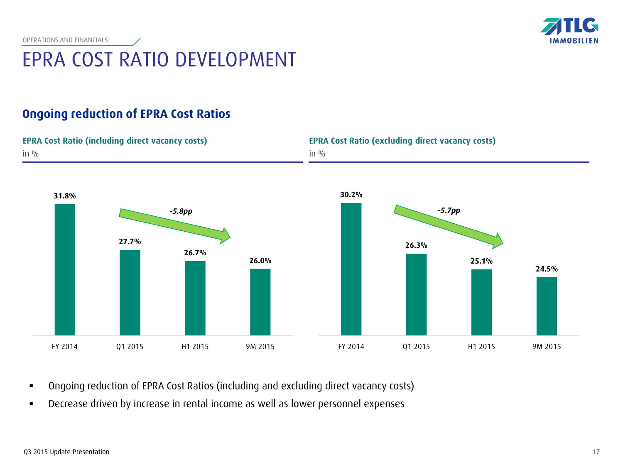

# EPRA COST RATIO DEVELOPMENT

### **Ongoing reduction of EPRA Cost Ratios**



- Ongoing reduction of EPRA Cost Ratios (including and excluding direct vacancy costs)
- Decrease driven by increase in rental income as well as lower personnel expenses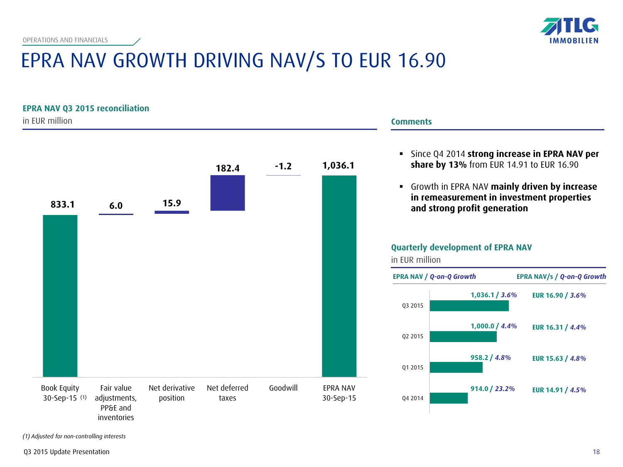**EPRA NAV Q3 2015 reconciliation**



# EPRA NAV GROWTH DRIVING NAV/S TO EUR 16.90

in EUR million (1) 30-Sep-15 **833.1 1,036.1 6.0 15.9 182.4 -1.2** Book Equity Fair value adjustments, PP&E and inventories Net derivative position Net deferred taxes Goodwill EPRA NAV 30-Sep-15

### **Comments** Since Q4 2014 **strong increase in EPRA NAV per share by 13%** from EUR 14.91 to EUR 16.90

 Growth in EPRA NAV **mainly driven by increase in remeasurement in investment properties and strong profit generation**



*(1) Adjusted for non-controlling interests*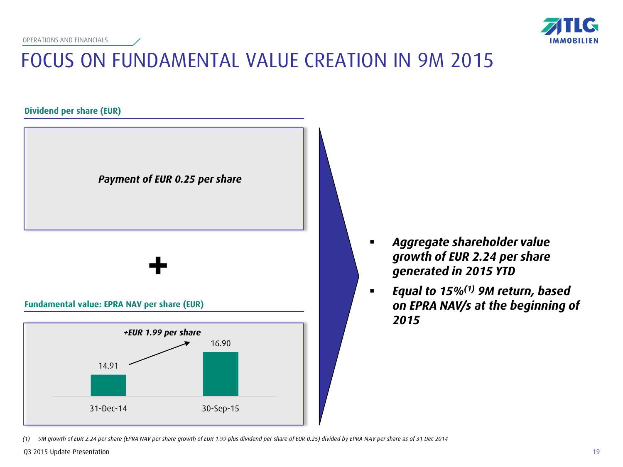

# FOCUS ON FUNDAMENTAL VALUE CREATION IN 9M 2015

**Dividend per share (EUR)**



31-Dec-14 30-Sep-15

- *Aggregate shareholder value growth of EUR 2.24 per share generated in 2015 YTD*
- *Equal to 15%(1) 9M return, based on EPRA NAV/s at the beginning of 2015*

*<sup>(1)</sup> 9M growth of EUR 2.24 per share (EPRA NAV per share growth of EUR 1.99 plus dividend per share of EUR 0.25) divided by EPRA NAV per share as of 31 Dec 2014*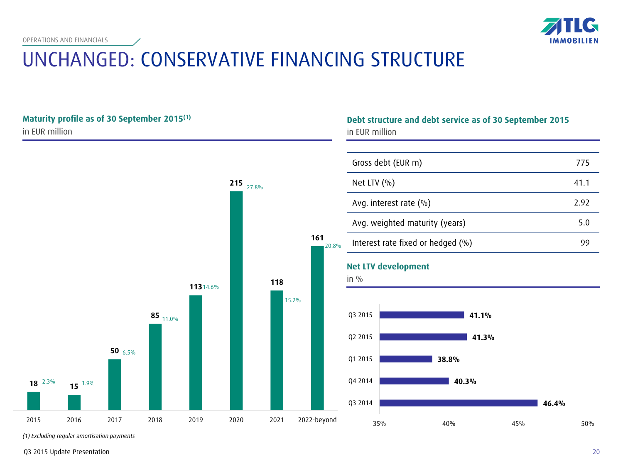

# UNCHANGED: CONSERVATIVE FINANCING STRUCTURE



*(1) Excluding regular amortisation payments*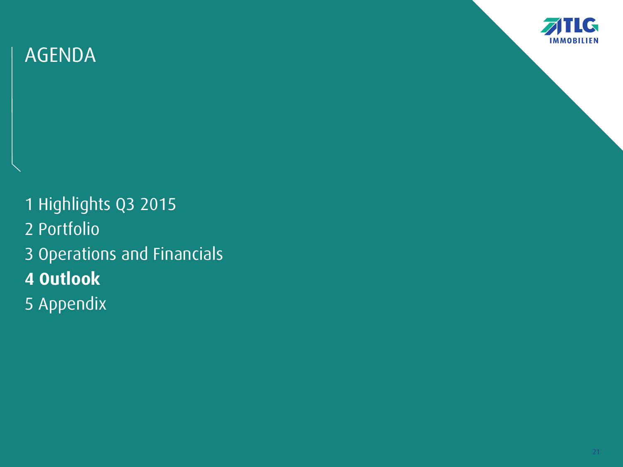

1 Highlights Q3 2015 2 Portfolio 3 Operations and Financials **4 Outlook** 5 Appendix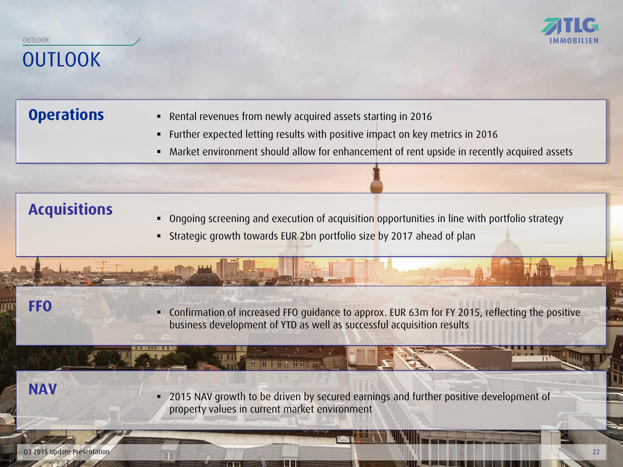### **OUTLOOK** OUTLOOK

- **Operations Rental revenues from newly acquired assets starting in 2016** 
	- Further expected letting results with positive impact on key metrics in 2016
	- Market environment should allow for enhancement of rent upside in recently acquired assets

### **Acquisitions**

- **•** Ongoing screening and execution of acquisition opportunities in line with portfolio strategy
- Strategic growth towards EUR 2bn portfolio size by 2017 ahead of plan

t tritten

 Confirmation of increased FFO guidance to approx. EUR 63m for FY 2015, reflecting the positive business development of YTD as well as successful acquisition results

**NAV**

**FFO**

 2015 NAV growth to be driven by secured earnings and further positive development of property values in current market environment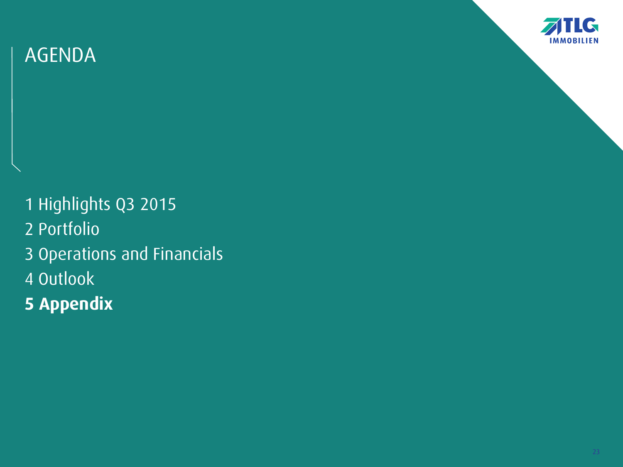

1 Highlights Q3 2015 2 Portfolio 3 Operations and Financials 4 Outlook **5 Appendix**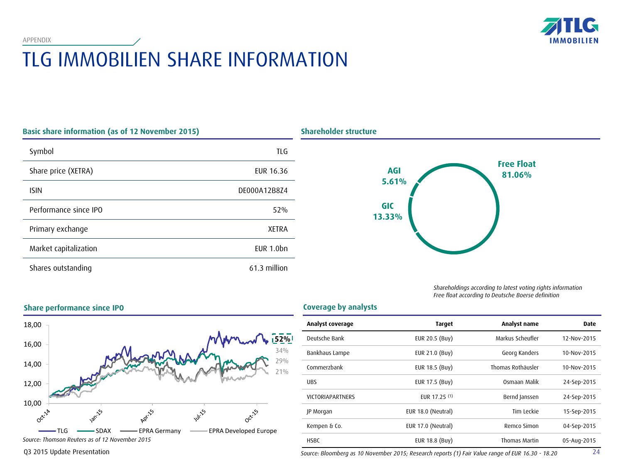# TLG IMMOBILIEN SHARE INFORMATION

| <b>Basic share information (as of 12 November 2015)</b> |                |  |
|---------------------------------------------------------|----------------|--|
| Symbol                                                  | TLG            |  |
| Share price (XETRA)                                     | EUR 16.36      |  |
| <b>ISIN</b>                                             | DE000A12B8Z4   |  |
| Performance since IPO                                   | 52%            |  |
| Primary exchange                                        | <b>XETRA</b>   |  |
| Market capitalization                                   | $EUR$ 1.0 $bn$ |  |
| Shares outstanding                                      | 61.3 million   |  |



*Shareholdings according to latest voting rights information Free float according to Deutsche Boerse definition*



| <b>Coverage by analysts</b> |  |  |
|-----------------------------|--|--|

| Analyst coverage        | <b>Target</b>      | Analyst name      | <b>Date</b> |
|-------------------------|--------------------|-------------------|-------------|
| Deutsche Bank           | EUR 20.5 (Buy)     | Markus Scheufler  | 12-Nov-2015 |
| Bankhaus Lampe          | EUR 21.0 (Buy)     | Georg Kanders     | 10-Nov-2015 |
| Commerzbank             | EUR 18.5 (Buy)     | Thomas Rothäusler | 10-Nov-2015 |
| <b>UBS</b>              | EUR 17.5 (Buy)     | Osmaan Malik      | 24-Sep-2015 |
| <b>VICTORIAPARTNERS</b> | EUR 17.25 (1)      | Bernd Janssen     | 24-Sep-2015 |
| JP Morgan               | EUR 18.0 (Neutral) | Tim Leckie        | 15-Sep-2015 |
| Kempen & Co.            | EUR 17.0 (Neutral) | Remco Simon       | 04-Sep-2015 |
| <b>HSBC</b>             | EUR 18.8 (Buy)     | Thomas Martin     | 05-Aug-2015 |

#### **Share performance since IPO**

*Source: Bloomberg as 10 November 2015; Research reports (1) Fair Value range of EUR 16.30 - 18.20*